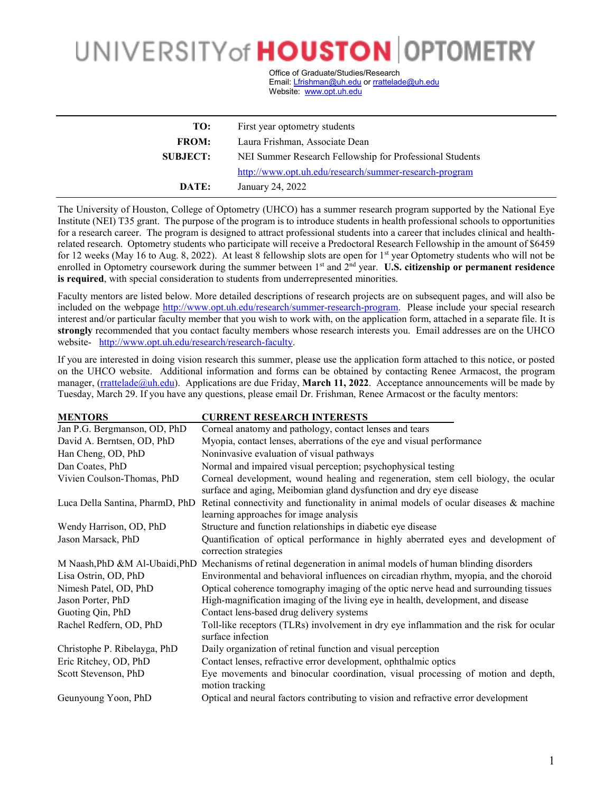## UNIVERSITY of **HOUSTON** OPTOMETRY

Office of Graduate/Studies/Research Email[: Lfrishman@uh.edu](mailto:Lfrishman@uh.edu) o[r rrattelade@uh.edu](mailto:rrattelade@uh.edu) Website: [www.opt.uh.edu](http://www.opt.uh.edu/)

| TO:             | First year optometry students                            |
|-----------------|----------------------------------------------------------|
| <b>FROM:</b>    | Laura Frishman, Associate Dean                           |
| <b>SUBJECT:</b> | NEI Summer Research Fellowship for Professional Students |
|                 | http://www.opt.uh.edu/research/summer-research-program   |
| DATE:           | January 24, 2022                                         |

The University of Houston, College of Optometry (UHCO) has a summer research program supported by the National Eye Institute (NEI) T35 grant. The purpose of the program is to introduce students in health professional schools to opportunities for a research career. The program is designed to attract professional students into a career that includes clinical and healthrelated research. Optometry students who participate will receive a Predoctoral Research Fellowship in the amount of \$6459 for 12 weeks (May 16 to Aug. 8, 2022). At least 8 fellowship slots are open for 1st year Optometry students who will not be enrolled in Optometry coursework during the summer between 1<sup>st</sup> and 2<sup>nd</sup> year. **U.S. citizenship or permanent residence is required**, with special consideration to students from underrepresented minorities.

Faculty mentors are listed below. More detailed descriptions of research projects are on subsequent pages, and will also be included on the webpage [http://www.opt.uh.edu/research/summer-research-program.](http://www.opt.uh.edu/research/summer-research-program) Please include your special research interest and/or particular faculty member that you wish to work with, on the application form, attached in a separate file. It is **strongly** recommended that you contact faculty members whose research interests you. Email addresses are on the UHCO website- [http://www.opt.uh.edu/research/research-faculty.](http://www.opt.uh.edu/research/research-faculty)

If you are interested in doing vision research this summer, please use the application form attached to this notice, or posted on the UHCO website. Additional information and forms can be obtained by contacting Renee Armacost, the program manager, [\(rrattelade@uh.edu\)](mailto:rrattelade@uh.edu). Applications are due Friday, **March 11, 2022**. Acceptance announcements will be made by Tuesday, March 29. If you have any questions, please email Dr. Frishman, Renee Armacost or the faculty mentors:

| <b>MENTORS</b>                  | <b>CURRENT RESEARCH INTERESTS</b>                                                                                                                        |
|---------------------------------|----------------------------------------------------------------------------------------------------------------------------------------------------------|
| Jan P.G. Bergmanson, OD, PhD    | Corneal anatomy and pathology, contact lenses and tears                                                                                                  |
| David A. Berntsen, OD, PhD      | Myopia, contact lenses, aberrations of the eye and visual performance                                                                                    |
| Han Cheng, OD, PhD              | Noninvasive evaluation of visual pathways                                                                                                                |
| Dan Coates, PhD                 | Normal and impaired visual perception; psychophysical testing                                                                                            |
| Vivien Coulson-Thomas, PhD      | Corneal development, wound healing and regeneration, stem cell biology, the ocular<br>surface and aging, Meibomian gland dysfunction and dry eye disease |
| Luca Della Santina, PharmD, PhD | Retinal connectivity and functionality in animal models of ocular diseases & machine<br>learning approaches for image analysis                           |
| Wendy Harrison, OD, PhD         | Structure and function relationships in diabetic eye disease                                                                                             |
| Jason Marsack, PhD              | Quantification of optical performance in highly aberrated eyes and development of<br>correction strategies                                               |
|                                 | M Naash, PhD &M Al-Ubaidi, PhD Mechanisms of retinal degeneration in animal models of human blinding disorders                                           |
| Lisa Ostrin, OD, PhD            | Environmental and behavioral influences on circadian rhythm, myopia, and the choroid                                                                     |
| Nimesh Patel, OD, PhD           | Optical coherence tomography imaging of the optic nerve head and surrounding tissues                                                                     |
| Jason Porter, PhD               | High-magnification imaging of the living eye in health, development, and disease                                                                         |
| Guoting Qin, PhD                | Contact lens-based drug delivery systems                                                                                                                 |
| Rachel Redfern, OD, PhD         | Toll-like receptors (TLRs) involvement in dry eye inflammation and the risk for ocular<br>surface infection                                              |
| Christophe P. Ribelayga, PhD    | Daily organization of retinal function and visual perception                                                                                             |
| Eric Ritchey, OD, PhD           | Contact lenses, refractive error development, ophthalmic optics                                                                                          |
| Scott Stevenson, PhD            | Eye movements and binocular coordination, visual processing of motion and depth,<br>motion tracking                                                      |
| Geunyoung Yoon, PhD             | Optical and neural factors contributing to vision and refractive error development                                                                       |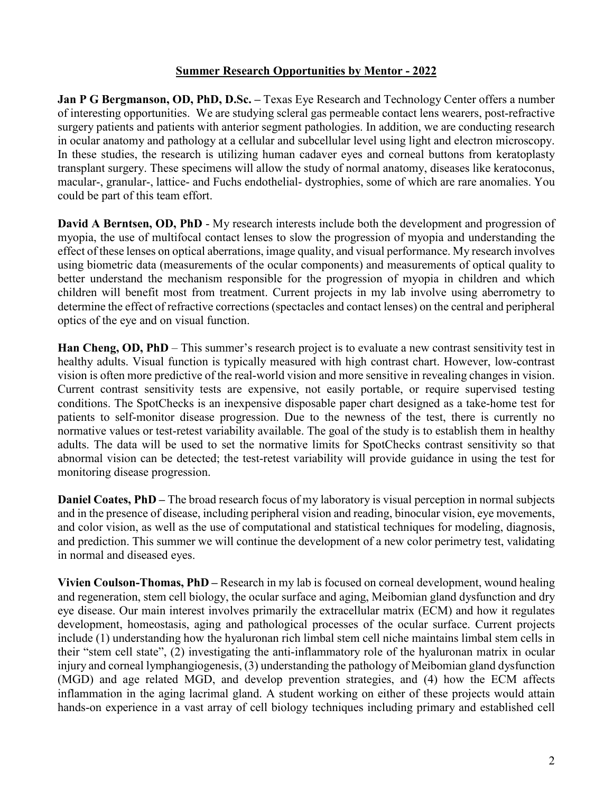## **Summer Research Opportunities by Mentor - 2022**

**Jan P G Bergmanson, OD, PhD, D.Sc. –** Texas Eye Research and Technology Center offers a number of interesting opportunities. We are studying scleral gas permeable contact lens wearers, post-refractive surgery patients and patients with anterior segment pathologies. In addition, we are conducting research in ocular anatomy and pathology at a cellular and subcellular level using light and electron microscopy. In these studies, the research is utilizing human cadaver eyes and corneal buttons from keratoplasty transplant surgery. These specimens will allow the study of normal anatomy, diseases like keratoconus, macular-, granular-, lattice- and Fuchs endothelial- dystrophies, some of which are rare anomalies. You could be part of this team effort.

**David A Berntsen, OD, PhD** - My research interests include both the development and progression of myopia, the use of multifocal contact lenses to slow the progression of myopia and understanding the effect of these lenses on optical aberrations, image quality, and visual performance. My research involves using biometric data (measurements of the ocular components) and measurements of optical quality to better understand the mechanism responsible for the progression of myopia in children and which children will benefit most from treatment. Current projects in my lab involve using aberrometry to determine the effect of refractive corrections (spectacles and contact lenses) on the central and peripheral optics of the eye and on visual function.

**Han Cheng, OD, PhD** – This summer's research project is to evaluate a new contrast sensitivity test in healthy adults. Visual function is typically measured with high contrast chart. However, low-contrast vision is often more predictive of the real-world vision and more sensitive in revealing changes in vision. Current contrast sensitivity tests are expensive, not easily portable, or require supervised testing conditions. The SpotChecks is an inexpensive disposable paper chart designed as a take-home test for patients to self-monitor disease progression. Due to the newness of the test, there is currently no normative values or test-retest variability available. The goal of the study is to establish them in healthy adults. The data will be used to set the normative limits for SpotChecks contrast sensitivity so that abnormal vision can be detected; the test-retest variability will provide guidance in using the test for monitoring disease progression.

**Daniel Coates, PhD** – The broad research focus of my laboratory is visual perception in normal subjects and in the presence of disease, including peripheral vision and reading, binocular vision, eye movements, and color vision, as well as the use of computational and statistical techniques for modeling, diagnosis, and prediction. This summer we will continue the development of a new color perimetry test, validating in normal and diseased eyes.

**Vivien Coulson-Thomas, PhD –** Research in my lab is focused on corneal development, wound healing and regeneration, stem cell biology, the ocular surface and aging, Meibomian gland dysfunction and dry eye disease. Our main interest involves primarily the extracellular matrix (ECM) and how it regulates development, homeostasis, aging and pathological processes of the ocular surface. Current projects include (1) understanding how the hyaluronan rich limbal stem cell niche maintains limbal stem cells in their "stem cell state", (2) investigating the anti-inflammatory role of the hyaluronan matrix in ocular injury and corneal lymphangiogenesis, (3) understanding the pathology of Meibomian gland dysfunction (MGD) and age related MGD, and develop prevention strategies, and (4) how the ECM affects inflammation in the aging lacrimal gland. A student working on either of these projects would attain hands-on experience in a vast array of cell biology techniques including primary and established cell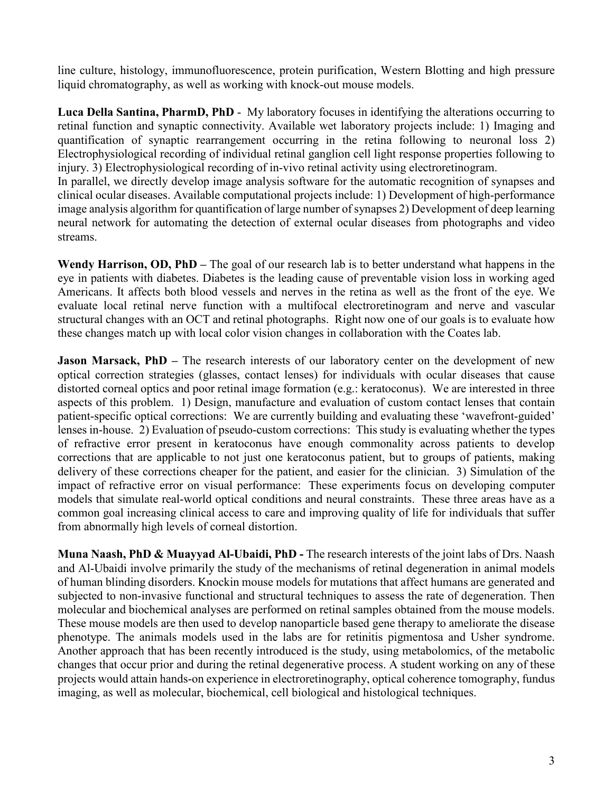line culture, histology, immunofluorescence, protein purification, Western Blotting and high pressure liquid chromatography, as well as working with knock-out mouse models.

**Luca Della Santina, PharmD, PhD** - My laboratory focuses in identifying the alterations occurring to retinal function and synaptic connectivity. Available wet laboratory projects include: 1) Imaging and quantification of synaptic rearrangement occurring in the retina following to neuronal loss 2) Electrophysiological recording of individual retinal ganglion cell light response properties following to injury. 3) Electrophysiological recording of in-vivo retinal activity using electroretinogram.

In parallel, we directly develop image analysis software for the automatic recognition of synapses and clinical ocular diseases. Available computational projects include: 1) Development of high-performance image analysis algorithm for quantification of large number of synapses 2) Development of deep learning neural network for automating the detection of external ocular diseases from photographs and video streams.

**Wendy Harrison, OD, PhD –** The goal of our research lab is to better understand what happens in the eye in patients with diabetes. Diabetes is the leading cause of preventable vision loss in working aged Americans. It affects both blood vessels and nerves in the retina as well as the front of the eye. We evaluate local retinal nerve function with a multifocal electroretinogram and nerve and vascular structural changes with an OCT and retinal photographs. Right now one of our goals is to evaluate how these changes match up with local color vision changes in collaboration with the Coates lab.

**Jason Marsack, PhD** – The research interests of our laboratory center on the development of new optical correction strategies (glasses, contact lenses) for individuals with ocular diseases that cause distorted corneal optics and poor retinal image formation (e.g.: keratoconus). We are interested in three aspects of this problem. 1) Design, manufacture and evaluation of custom contact lenses that contain patient-specific optical corrections: We are currently building and evaluating these 'wavefront-guided' lenses in-house. 2) Evaluation of pseudo-custom corrections: This study is evaluating whether the types of refractive error present in keratoconus have enough commonality across patients to develop corrections that are applicable to not just one keratoconus patient, but to groups of patients, making delivery of these corrections cheaper for the patient, and easier for the clinician. 3) Simulation of the impact of refractive error on visual performance: These experiments focus on developing computer models that simulate real-world optical conditions and neural constraints. These three areas have as a common goal increasing clinical access to care and improving quality of life for individuals that suffer from abnormally high levels of corneal distortion.

**Muna Naash, PhD & Muayyad Al-Ubaidi, PhD -** The research interests of the joint labs of Drs. Naash and Al-Ubaidi involve primarily the study of the mechanisms of retinal degeneration in animal models of human blinding disorders. Knockin mouse models for mutations that affect humans are generated and subjected to non-invasive functional and structural techniques to assess the rate of degeneration. Then molecular and biochemical analyses are performed on retinal samples obtained from the mouse models. These mouse models are then used to develop nanoparticle based gene therapy to ameliorate the disease phenotype. The animals models used in the labs are for retinitis pigmentosa and Usher syndrome. Another approach that has been recently introduced is the study, using metabolomics, of the metabolic changes that occur prior and during the retinal degenerative process. A student working on any of these projects would attain hands-on experience in electroretinography, optical coherence tomography, fundus imaging, as well as molecular, biochemical, cell biological and histological techniques.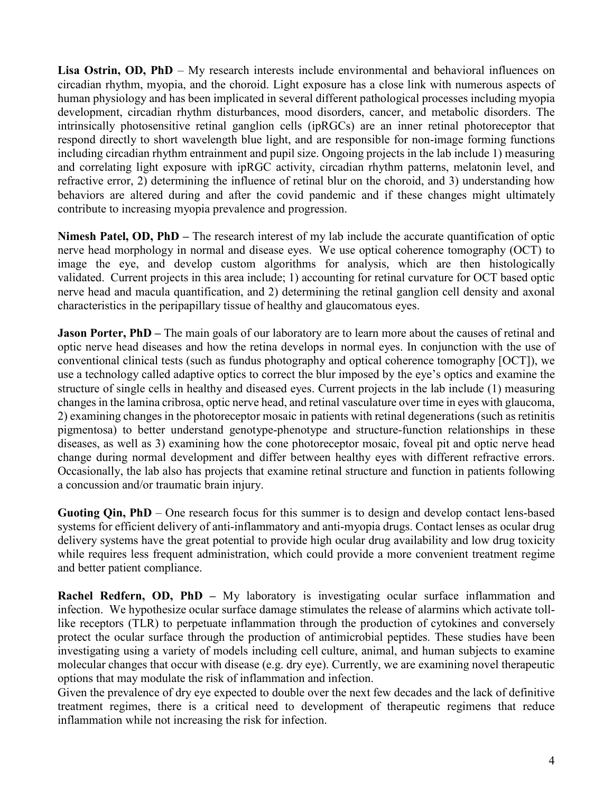Lisa Ostrin, OD, PhD – My research interests include environmental and behavioral influences on circadian rhythm, myopia, and the choroid. Light exposure has a close link with numerous aspects of human physiology and has been implicated in several different pathological processes including myopia development, circadian rhythm disturbances, mood disorders, cancer, and metabolic disorders. The intrinsically photosensitive retinal ganglion cells (ipRGCs) are an inner retinal photoreceptor that respond directly to short wavelength blue light, and are responsible for non-image forming functions including circadian rhythm entrainment and pupil size. Ongoing projects in the lab include 1) measuring and correlating light exposure with ipRGC activity, circadian rhythm patterns, melatonin level, and refractive error, 2) determining the influence of retinal blur on the choroid, and 3) understanding how behaviors are altered during and after the covid pandemic and if these changes might ultimately contribute to increasing myopia prevalence and progression.

**Nimesh Patel, OD, PhD –** The research interest of my lab include the accurate quantification of optic nerve head morphology in normal and disease eyes. We use optical coherence tomography (OCT) to image the eye, and develop custom algorithms for analysis, which are then histologically validated. Current projects in this area include; 1) accounting for retinal curvature for OCT based optic nerve head and macula quantification, and 2) determining the retinal ganglion cell density and axonal characteristics in the peripapillary tissue of healthy and glaucomatous eyes.

**Jason Porter, PhD** – The main goals of our laboratory are to learn more about the causes of retinal and optic nerve head diseases and how the retina develops in normal eyes. In conjunction with the use of conventional clinical tests (such as fundus photography and optical coherence tomography [OCT]), we use a technology called adaptive optics to correct the blur imposed by the eye's optics and examine the structure of single cells in healthy and diseased eyes. Current projects in the lab include (1) measuring changes in the lamina cribrosa, optic nerve head, and retinal vasculature over time in eyes with glaucoma, 2) examining changes in the photoreceptor mosaic in patients with retinal degenerations (such as retinitis pigmentosa) to better understand genotype-phenotype and structure-function relationships in these diseases, as well as 3) examining how the cone photoreceptor mosaic, foveal pit and optic nerve head change during normal development and differ between healthy eyes with different refractive errors. Occasionally, the lab also has projects that examine retinal structure and function in patients following a concussion and/or traumatic brain injury.

**Guoting Qin, PhD** – One research focus for this summer is to design and develop contact lens-based systems for efficient delivery of anti-inflammatory and anti-myopia drugs. Contact lenses as ocular drug delivery systems have the great potential to provide high ocular drug availability and low drug toxicity while requires less frequent administration, which could provide a more convenient treatment regime and better patient compliance.

**Rachel Redfern, OD, PhD –** My laboratory is investigating ocular surface inflammation and infection. We hypothesize ocular surface damage stimulates the release of alarmins which activate tolllike receptors (TLR) to perpetuate inflammation through the production of cytokines and conversely protect the ocular surface through the production of antimicrobial peptides. These studies have been investigating using a variety of models including cell culture, animal, and human subjects to examine molecular changes that occur with disease (e.g. dry eye). Currently, we are examining novel therapeutic options that may modulate the risk of inflammation and infection.

Given the prevalence of dry eye expected to double over the next few decades and the lack of definitive treatment regimes, there is a critical need to development of therapeutic regimens that reduce inflammation while not increasing the risk for infection.